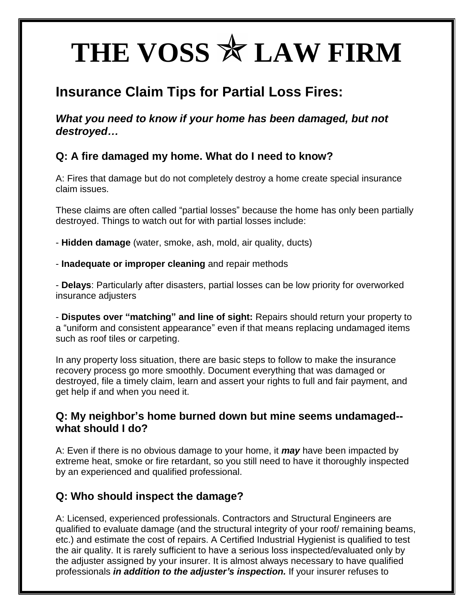# THE VOSS  $*$  LAW FIRM

## **Insurance Claim Tips for Partial Loss Fires:**

*What you need to know if your home has been damaged, but not destroyed…*

#### **Q: A fire damaged my home. What do I need to know?**

A: Fires that damage but do not completely destroy a home create special insurance claim issues.

These claims are often called "partial losses" because the home has only been partially destroyed. Things to watch out for with partial losses include:

- **Hidden damage** (water, smoke, ash, mold, air quality, ducts)

- **Inadequate or improper cleaning** and repair methods

- **Delays**: Particularly after disasters, partial losses can be low priority for overworked insurance adjusters

- **Disputes over "matching" and line of sight:** Repairs should return your property to a "uniform and consistent appearance" even if that means replacing undamaged items such as roof tiles or carpeting.

In any property loss situation, there are basic steps to follow to make the insurance recovery process go more smoothly. Document everything that was damaged or destroyed, file a timely claim, learn and assert your rights to full and fair payment, and get help if and when you need it.

#### **Q: My neighbor's home burned down but mine seems undamaged- what should I do?**

A: Even if there is no obvious damage to your home, it *may* have been impacted by extreme heat, smoke or fire retardant, so you still need to have it thoroughly inspected by an experienced and qualified professional.

#### **Q: Who should inspect the damage?**

A: Licensed, experienced professionals. Contractors and Structural Engineers are qualified to evaluate damage (and the structural integrity of your roof/ remaining beams, etc.) and estimate the cost of repairs. A Certified Industrial Hygienist is qualified to test the air quality. It is rarely sufficient to have a serious loss inspected/evaluated only by the adjuster assigned by your insurer. It is almost always necessary to have qualified professionals *in addition to the adjuster's inspection.* If your insurer refuses to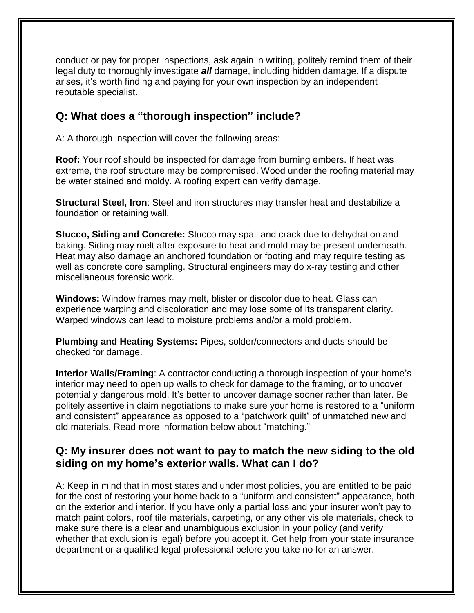conduct or pay for proper inspections, ask again in writing, politely remind them of their legal duty to thoroughly investigate *all* damage, including hidden damage. If a dispute arises, it's worth finding and paying for your own inspection by an independent reputable specialist.

#### **Q: What does a "thorough inspection" include?**

A: A thorough inspection will cover the following areas:

**Roof:** Your roof should be inspected for damage from burning embers. If heat was extreme, the roof structure may be compromised. Wood under the roofing material may be water stained and moldy. A roofing expert can verify damage.

**Structural Steel, Iron**: Steel and iron structures may transfer heat and destabilize a foundation or retaining wall.

**Stucco, Siding and Concrete:** Stucco may spall and crack due to dehydration and baking. Siding may melt after exposure to heat and mold may be present underneath. Heat may also damage an anchored foundation or footing and may require testing as well as concrete core sampling. Structural engineers may do x-ray testing and other miscellaneous forensic work.

**Windows:** Window frames may melt, blister or discolor due to heat. Glass can experience warping and discoloration and may lose some of its transparent clarity. Warped windows can lead to moisture problems and/or a mold problem.

**Plumbing and Heating Systems:** Pipes, solder/connectors and ducts should be checked for damage.

**Interior Walls/Framing**: A contractor conducting a thorough inspection of your home's interior may need to open up walls to check for damage to the framing, or to uncover potentially dangerous mold. It's better to uncover damage sooner rather than later. Be politely assertive in claim negotiations to make sure your home is restored to a "uniform and consistent" appearance as opposed to a "patchwork quilt" of unmatched new and old materials. Read more information below about "matching."

#### **Q: My insurer does not want to pay to match the new siding to the old siding on my home's exterior walls. What can I do?**

A: Keep in mind that in most states and under most policies, you are entitled to be paid for the cost of restoring your home back to a "uniform and consistent" appearance, both on the exterior and interior. If you have only a partial loss and your insurer won't pay to match paint colors, roof tile materials, carpeting, or any other visible materials, check to make sure there is a clear and unambiguous exclusion in your policy (and verify whether that exclusion is legal) before you accept it. Get help from your state insurance department or a qualified legal professional before you take no for an answer.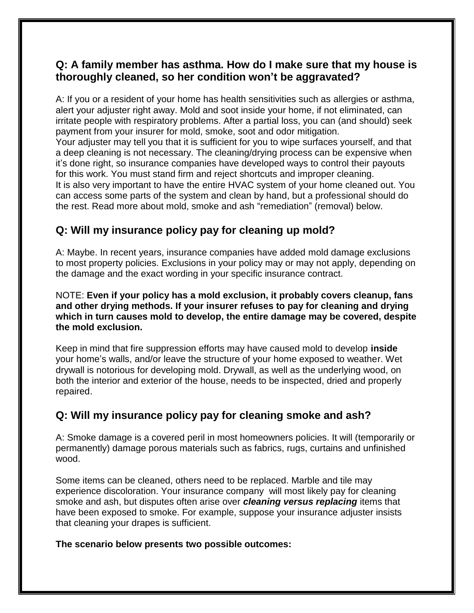#### **Q: A family member has asthma. How do I make sure that my house is thoroughly cleaned, so her condition won't be aggravated?**

A: If you or a resident of your home has health sensitivities such as allergies or asthma, alert your adjuster right away. Mold and soot inside your home, if not eliminated, can irritate people with respiratory problems. After a partial loss, you can (and should) seek payment from your insurer for mold, smoke, soot and odor mitigation. Your adjuster may tell you that it is sufficient for you to wipe surfaces yourself, and that a deep cleaning is not necessary. The cleaning/drying process can be expensive when it's done right, so insurance companies have developed ways to control their payouts for this work. You must stand firm and reject shortcuts and improper cleaning. It is also very important to have the entire HVAC system of your home cleaned out. You can access some parts of the system and clean by hand, but a professional should do the rest. Read more about mold, smoke and ash "remediation" (removal) below.

#### **Q: Will my insurance policy pay for cleaning up mold?**

A: Maybe. In recent years, insurance companies have added mold damage exclusions to most property policies. Exclusions in your policy may or may not apply, depending on the damage and the exact wording in your specific insurance contract.

NOTE: **Even if your policy has a mold exclusion, it probably covers cleanup, fans and other drying methods. If your insurer refuses to pay for cleaning and drying which in turn causes mold to develop, the entire damage may be covered, despite the mold exclusion.**

Keep in mind that fire suppression efforts may have caused mold to develop **inside**  your home's walls, and/or leave the structure of your home exposed to weather. Wet drywall is notorious for developing mold. Drywall, as well as the underlying wood, on both the interior and exterior of the house, needs to be inspected, dried and properly repaired.

#### **Q: Will my insurance policy pay for cleaning smoke and ash?**

A: Smoke damage is a covered peril in most homeowners policies. It will (temporarily or permanently) damage porous materials such as fabrics, rugs, curtains and unfinished wood.

Some items can be cleaned, others need to be replaced. Marble and tile may experience discoloration. Your insurance company will most likely pay for cleaning smoke and ash, but disputes often arise over *cleaning versus replacing* items that have been exposed to smoke. For example, suppose your insurance adjuster insists that cleaning your drapes is sufficient.

**The scenario below presents two possible outcomes:**